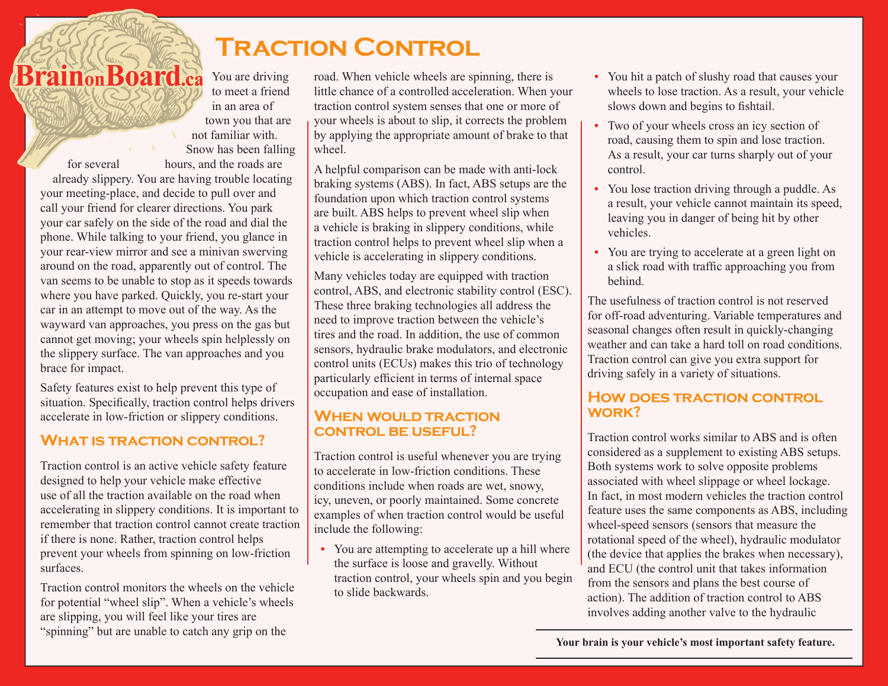# **Traction Control**

**BrainonBoard.ca** You are driving to meet a friend in an area of town you that are not familiar with. Snow has been falling for several hours, and the roads are already slippery. You are having trouble locating your meeting-place, and decide to pull over and call your friend for clearer directions. You park your car safely on the side of the road and dial the phone. While talking to your friend, you glance in your rear-view mirror and see a minivan swerving around on the road, apparently out of control. The van seems to be unable to stop as it speeds towards where you have parked. Quickly, you re-start your car in an attempt to move out of the way. As the wayward van approaches, you press on the gas but cannot get moving; your wheels spin helplessly on the slippery surface. The van approaches and you brace for impact.

Safety features exist to help prevent this type of situation. Specifically, traction control helps drivers accelerate in low-friction or slippery conditions.

# **What is traction control?**

Traction control is an active vehicle safety feature designed to help your vehicle make effective use of all the traction available on the road when accelerating in slippery conditions. It is important to remember that traction control cannot create traction if there is none. Rather, traction control helps prevent your wheels from spinning on low-friction surfaces.

Traction control monitors the wheels on the vehicle for potential "wheel slip". When a vehicle's wheels are slipping, you will feel like your tires are "spinning" but are unable to catch any grip on the

road. When vehicle wheels are spinning, there is little chance of a controlled acceleration. When your traction control system senses that one or more of your wheels is about to slip, it corrects the problem by applying the appropriate amount of brake to that wheel

A helpful comparison can be made with anti-lock braking systems (ABS). In fact, ABS setups are the foundation upon which traction control systems are built. ABS helps to prevent wheel slip when a vehicle is braking in slippery conditions, while traction control helps to prevent wheel slip when a vehicle is accelerating in slippery conditions.

Many vehicles today are equipped with traction control, ABS, and electronic stability control (ESC). These three braking technologies all address the need to improve traction between the vehicle's tires and the road. In addition, the use of common sensors, hydraulic brake modulators, and electronic control units (ECUs) makes this trio of technology particularly efficient in terms of internal space occupation and ease of installation.

# **When would traction control be useful?**

Traction control is useful whenever you are trying to accelerate in low-friction conditions. These conditions include when roads are wet, snowy, icy, uneven, or poorly maintained. Some concrete examples of when traction control would be useful include the following:

**•** You are attempting to accelerate up a hill where the surface is loose and gravelly. Without traction control, your wheels spin and you begin to slide backwards.

- You hit a patch of slushy road that causes your wheels to lose traction. As a result, your vehicle slows down and begins to fishtail.
- **•** Two of your wheels cross an icy section of road, causing them to spin and lose traction. As a result, your car turns sharply out of your control.
- **•** You lose traction driving through a puddle. As a result, your vehicle cannot maintain its speed, leaving you in danger of being hit by other vehicles.
- **•** You are trying to accelerate at a green light on a slick road with traffic approaching you from behind.

The usefulness of traction control is not reserved for off-road adventuring. Variable temperatures and seasonal changes often result in quickly-changing weather and can take a hard toll on road conditions. Traction control can give you extra support for driving safely in a variety of situations.

# **How does traction control work?**

Traction control works similar to ABS and is often considered as a supplement to existing ABS setups. Both systems work to solve opposite problems associated with wheel slippage or wheel lockage. In fact, in most modern vehicles the traction control feature uses the same components as ABS, including wheel-speed sensors (sensors that measure the rotational speed of the wheel), hydraulic modulator (the device that applies the brakes when necessary), and ECU (the control unit that takes information from the sensors and plans the best course of action). The addition of traction control to ABS involves adding another valve to the hydraulic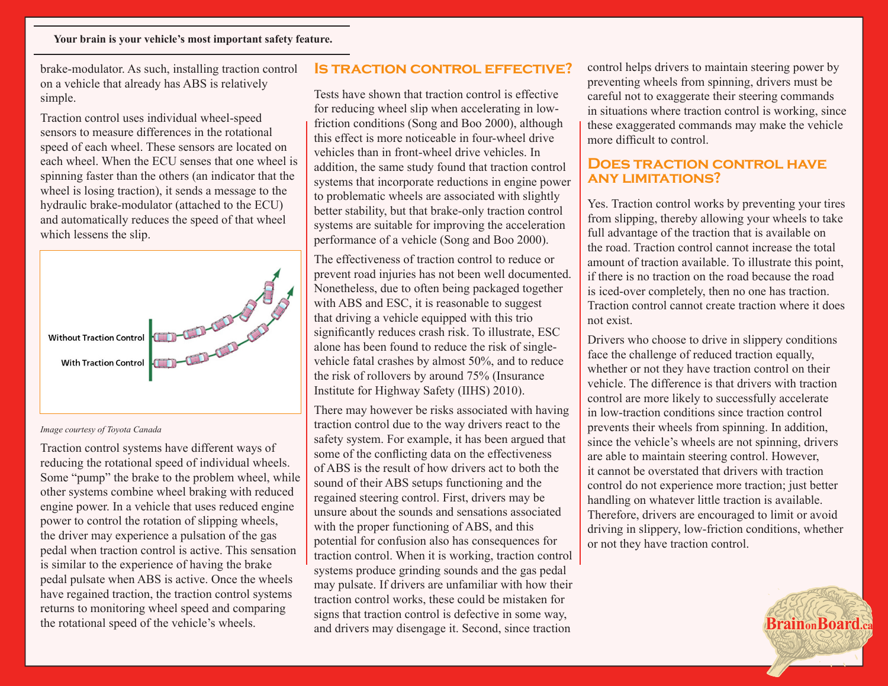brake-modulator. As such, installing traction control on a vehicle that already has ABS is relatively simple.

Traction control uses individual wheel-speed sensors to measure differences in the rotational speed of each wheel. These sensors are located on each wheel. When the ECU senses that one wheel is spinning faster than the others (an indicator that the wheel is losing traction), it sends a message to the hydraulic brake-modulator (attached to the ECU) and automatically reduces the speed of that wheel which lessens the slip.



#### *Image courtesy of Toyota Canada*

Traction control systems have different ways of reducing the rotational speed of individual wheels. Some "pump" the brake to the problem wheel, while other systems combine wheel braking with reduced engine power. In a vehicle that uses reduced engine power to control the rotation of slipping wheels, the driver may experience a pulsation of the gas pedal when traction control is active. This sensation is similar to the experience of having the brake pedal pulsate when ABS is active. Once the wheels have regained traction, the traction control systems returns to monitoring wheel speed and comparing the rotational speed of the vehicle's wheels.

## **Is traction control effective?**

Tests have shown that traction control is effective for reducing wheel slip when accelerating in lowfriction conditions (Song and Boo 2000), although this effect is more noticeable in four-wheel drive vehicles than in front-wheel drive vehicles. In addition, the same study found that traction control systems that incorporate reductions in engine power to problematic wheels are associated with slightly better stability, but that brake-only traction control systems are suitable for improving the acceleration performance of a vehicle (Song and Boo 2000).

The effectiveness of traction control to reduce or prevent road injuries has not been well documented. Nonetheless, due to often being packaged together with ABS and ESC, it is reasonable to suggest that driving a vehicle equipped with this trio significantly reduces crash risk. To illustrate, ESC alone has been found to reduce the risk of singlevehicle fatal crashes by almost 50%, and to reduce the risk of rollovers by around 75% (Insurance Institute for Highway Safety (IIHS) 2010).

There may however be risks associated with having traction control due to the way drivers react to the safety system. For example, it has been argued that some of the conflicting data on the effectiveness of ABS is the result of how drivers act to both the sound of their ABS setups functioning and the regained steering control. First, drivers may be unsure about the sounds and sensations associated with the proper functioning of ABS, and this potential for confusion also has consequences for traction control. When it is working, traction control systems produce grinding sounds and the gas pedal may pulsate. If drivers are unfamiliar with how their traction control works, these could be mistaken for signs that traction control is defective in some way, and drivers may disengage it. Second, since traction

control helps drivers to maintain steering power by preventing wheels from spinning, drivers must be careful not to exaggerate their steering commands in situations where traction control is working, since these exaggerated commands may make the vehicle more difficult to control.

### **Does traction control have any limitations?**

Yes. Traction control works by preventing your tires from slipping, thereby allowing your wheels to take full advantage of the traction that is available on the road. Traction control cannot increase the total amount of traction available. To illustrate this point, if there is no traction on the road because the road is iced-over completely, then no one has traction. Traction control cannot create traction where it does not exist.

Drivers who choose to drive in slippery conditions face the challenge of reduced traction equally, whether or not they have traction control on their vehicle. The difference is that drivers with traction control are more likely to successfully accelerate in low-traction conditions since traction control prevents their wheels from spinning. In addition, since the vehicle's wheels are not spinning, drivers are able to maintain steering control. However, it cannot be overstated that drivers with traction control do not experience more traction; just better handling on whatever little traction is available. Therefore, drivers are encouraged to limit or avoid driving in slippery, low-friction conditions, whether or not they have traction control.

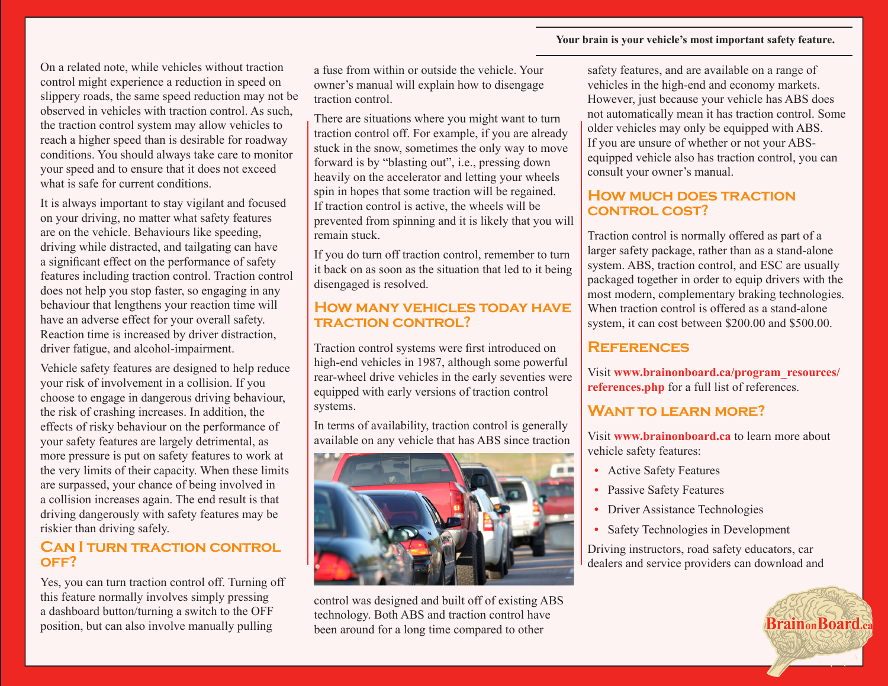#### **Your brain is your vehicle's most important safety feature.**

On a related note, while vehicles without traction control might experience a reduction in speed on slippery roads, the same speed reduction may not be observed in vehicles with traction control. As such, the traction control system may allow vehicles to reach a higher speed than is desirable for roadway conditions. You should always take care to monitor your speed and to ensure that it does not exceed what is safe for current conditions.

It is always important to stay vigilant and focused on your driving, no matter what safety features are on the vehicle. Behaviours like speeding, driving while distracted, and tailgating can have a significant effect on the performance of safety features including traction control. Traction control does not help you stop faster, so engaging in any behaviour that lengthens your reaction time will have an adverse effect for your overall safety. Reaction time is increased by driver distraction, driver fatigue, and alcohol-impairment.

Vehicle safety features are designed to help reduce your risk of involvement in a collision. If you choose to engage in dangerous driving behaviour, the risk of crashing increases. In addition, the effects of risky behaviour on the performance of your safety features are largely detrimental, as more pressure is put on safety features to work at the very limits of their capacity. When these limits are surpassed, your chance of being involved in a collision increases again. The end result is that driving dangerously with safety features may be riskier than driving safely.

## **Can I turn traction control off?**

Yes, you can turn traction control off. Turning off this feature normally involves simply pressing a dashboard button/turning a switch to the OFF position, but can also involve manually pulling

a fuse from within or outside the vehicle. Your owner's manual will explain how to disengage traction control.

There are situations where you might want to turn traction control off. For example, if you are already stuck in the snow, sometimes the only way to move forward is by "blasting out", i.e., pressing down heavily on the accelerator and letting your wheels spin in hopes that some traction will be regained. If traction control is active, the wheels will be prevented from spinning and it is likely that you will remain stuck.

If you do turn off traction control, remember to turn it back on as soon as the situation that led to it being disengaged is resolved.

## **How many vehicles today have traction control?**

Traction control systems were first introduced on high-end vehicles in 1987, although some powerful rear-wheel drive vehicles in the early seventies were equipped with early versions of traction control systems.

In terms of availability, traction control is generally available on any vehicle that has ABS since traction



control was designed and built off of existing ABS technology. Both ABS and traction control have been around for a long time compared to other

safety features, and are available on a range of vehicles in the high-end and economy markets. However, just because your vehicle has ABS does not automatically mean it has traction control. Some older vehicles may only be equipped with ABS. If you are unsure of whether or not your ABSequipped vehicle also has traction control, you can consult your owner's manual.

## **How much does traction control cost?**

Traction control is normally offered as part of a larger safety package, rather than as a stand-alone system. ABS, traction control, and ESC are usually packaged together in order to equip drivers with the most modern, complementary braking technologies. When traction control is offered as a stand-alone system, it can cost between \$200.00 and \$500.00.

# **References**

Visit **www.brainonboard.ca/program\_resources/ references.php** for a full list of references.

# **Want to learn more?**

Visit **www.brainonboard.ca** to learn more about vehicle safety features:

- **•** Active Safety Features
- **•** Passive Safety Features
- Driver Assistance Technologies
- **•** Safety Technologies in Development

Driving instructors, road safety educators, car dealers and service providers can download and